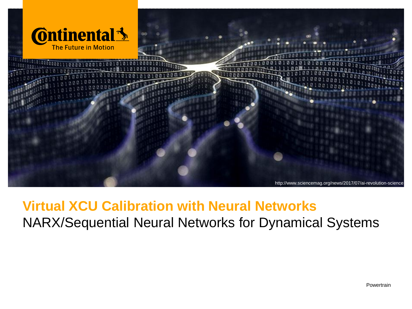

# **Virtual XCU Calibration with Neural Networks** NARX/Sequential Neural Networks for Dynamical Systems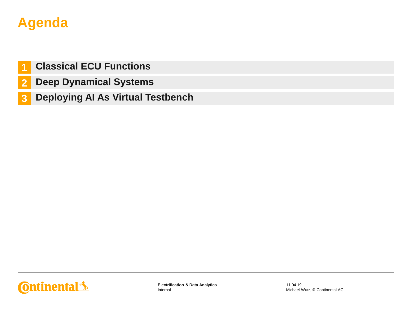# **Agenda**

- **1 Classical ECU Functions**
- **2 Deep Dynamical Systems**
- **3 Deploying AI As Virtual Testbench**

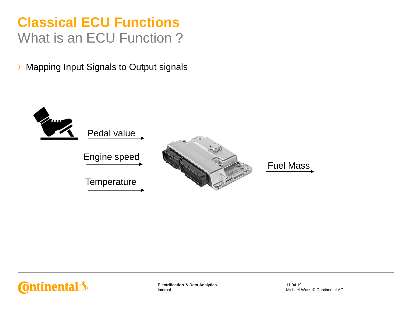# **Classical ECU Functions** What is an ECU Function ?

› Mapping Input Signals to Output signals





Internal **Electrification & Data Analytics**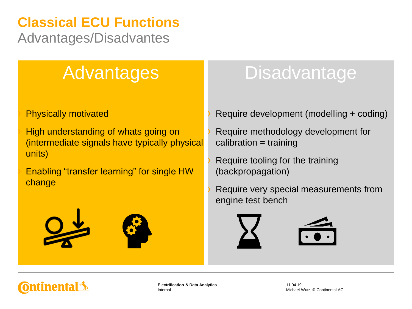# **Classical ECU Functions**

Advantages/Disadvantes

# Advantages

#### **Physically motivated**

High understanding of whats going on (intermediate signals have typically physical units)

Enabling "transfer learning" for single HW change



# **Disadvantage**

- Require development (modelling + coding)
- Require methodology development for calibration = training
- Require tooling for the training (backpropagation)
- Require very special measurements from engine test bench





Internal **Electrification & Data Analytics**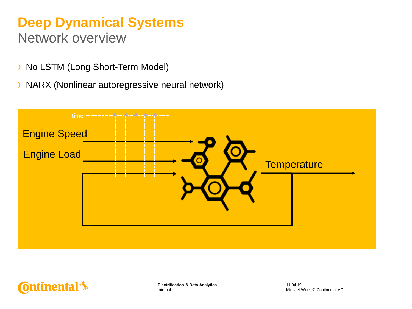### **Deep Dynamical Systems** Network overview

- › No LSTM (Long Short-Term Model)
- › NARX (Nonlinear autoregressive neural network)



tinental <u>\*</u>

Internal **Electrification & Data Analytics**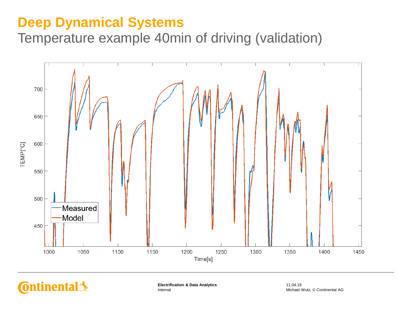# **Deep Dynamical Systems**

Temperature example 40min of driving (validation)



**Ontinental 3** 

Internal **Electrification & Data Analytics**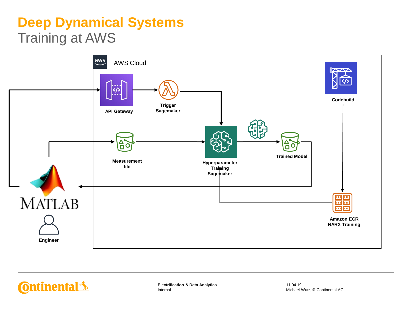# **Deep Dynamical Systems** Training at AWS



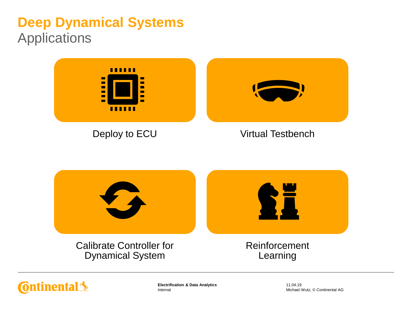# **Deep Dynamical Systems** Applications





Internal **Electrification & Data Analytics**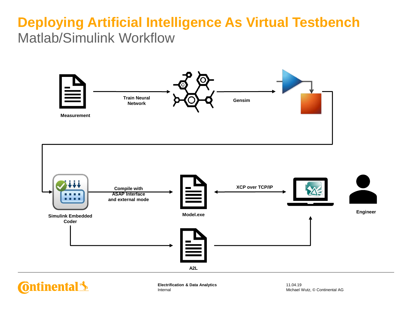# **Deploying Artificial Intelligence As Virtual Testbench** Matlab/Simulink Workflow





**Ontinental 3** 

Internal **Electrification & Data Analytics**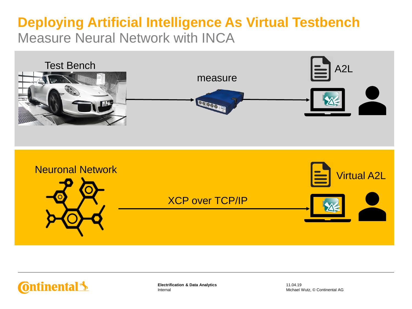# **Deploying Artificial Intelligence As Virtual Testbench** Measure Neural Network with INCA







Internal **Electrification & Data Analytics**